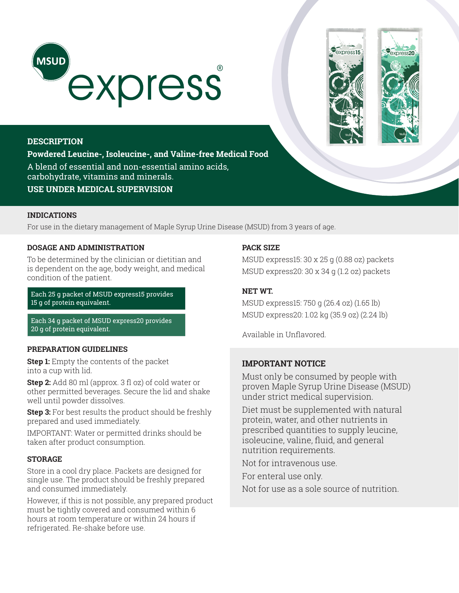



express20

# **DESCRIPTION**

**Powdered Leucine-, Isoleucine-, and Valine-free Medical Food**  A blend of essential and non-essential amino acids, carbohydrate, vitamins and minerals. **USE UNDER MEDICAL SUPERVISION**

## **INDICATIONS**

For use in the dietary management of Maple Syrup Urine Disease (MSUD) from 3 years of age.

# **DOSAGE AND ADMINISTRATION**

To be determined by the clinician or dietitian and is dependent on the age, body weight, and medical condition of the patient.

Each 25 g packet of MSUD express15 provides 15 g of protein equivalent.

Each 34 g packet of MSUD express20 provides 20 g of protein equivalent.

### **PREPARATION GUIDELINES**

**Step 1:** Empty the contents of the packet into a cup with lid.

**Step 2:** Add 80 ml (approx. 3 fl oz) of cold water or other permitted beverages. Secure the lid and shake well until powder dissolves.

**Step 3:** For best results the product should be freshly prepared and used immediately.

IMPORTANT: Water or permitted drinks should be taken after product consumption.

### **STORAGE**

Store in a cool dry place. Packets are designed for single use. The product should be freshly prepared and consumed immediately.

However, if this is not possible, any prepared product must be tightly covered and consumed within 6 hours at room temperature or within 24 hours if refrigerated. Re-shake before use.

# **PACK SIZE**

MSUD express15: 30 x 25 g (0.88 oz) packets MSUD express20: 30 x 34 g (1.2 oz) packets

## **NET WT.**

MSUD express15: 750 g (26.4 oz) (1.65 lb) MSUD express20: 1.02 kg (35.9 oz) (2.24 lb)

Available in Unflavored.

# **IMPORTANT NOTICE**

Must only be consumed by people with proven Maple Syrup Urine Disease (MSUD) under strict medical supervision.

Diet must be supplemented with natural protein, water, and other nutrients in prescribed quantities to supply leucine, isoleucine, valine, fluid, and general nutrition requirements.

Not for intravenous use.

For enteral use only.

Not for use as a sole source of nutrition.